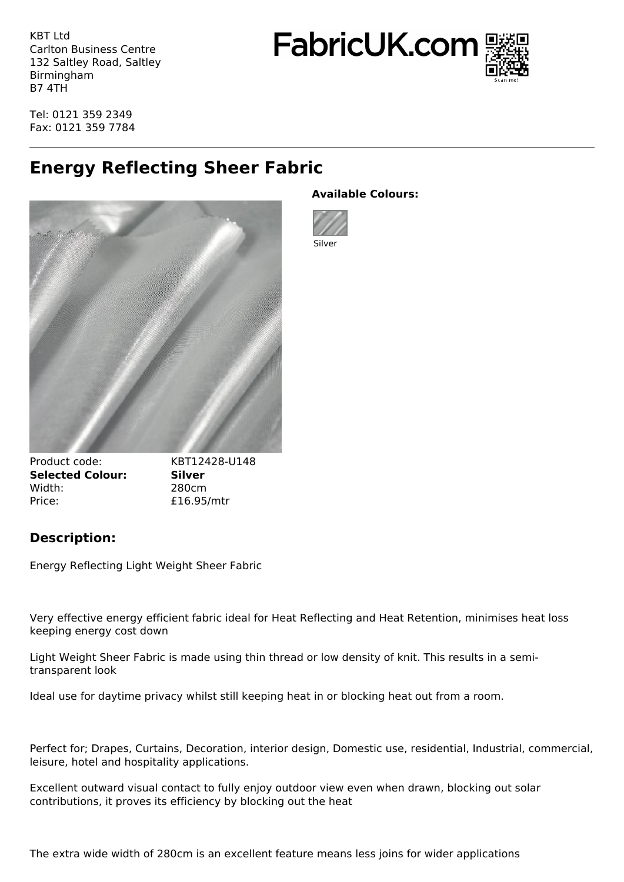KBT Ltd Carlton Business Centre 132 Saltley Road, Saltley Birmingham B7 4TH

FabricUK.com



Tel: 0121 359 2349 Fax: 0121 359 7784

## **Energy Reflecting Sheer Fabric**



## **Available Colours:**



Product code: KBT12428-U148 **Selected Colour: Silver** Width: 280cm Price: £16.95/mtr

## **Description:**

Energy Reflecting Light Weight Sheer Fabric

Very effective energy efficient fabric ideal for Heat Reflecting and Heat Retention, minimises heat loss keeping energy cost down

Light Weight Sheer Fabric is made using thin thread or low density of knit. This results in a semitransparent look

Ideal use for daytime privacy whilst still keeping heat in or blocking heat out from a room.

Perfect for; Drapes, Curtains, Decoration, interior design, Domestic use, residential, Industrial, commercial, leisure, hotel and hospitality applications.

Excellent outward visual contact to fully enjoy outdoor view even when drawn, blocking out solar contributions, it proves its efficiency by blocking out the heat